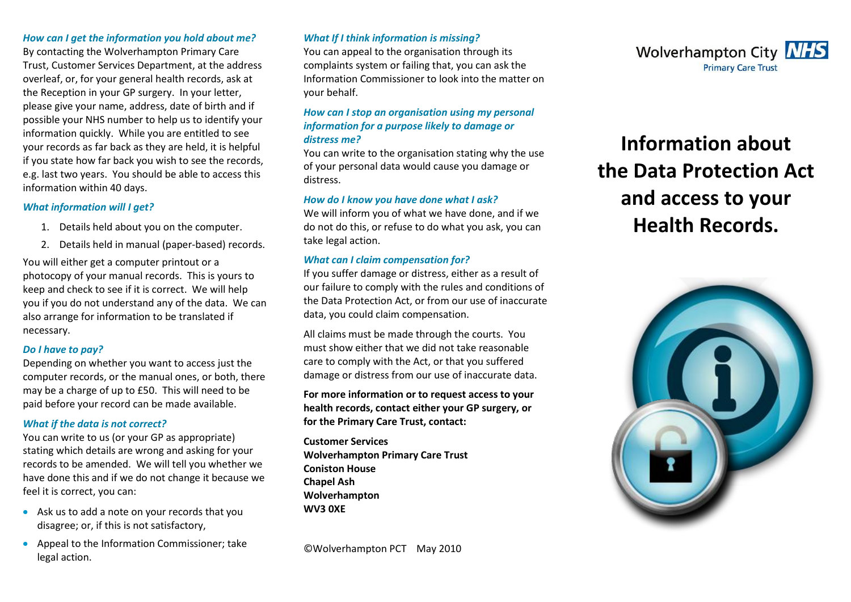#### *How can I get the information you hold about me?*

By contacting the Wolverhampton Primary Care Trust, Customer Services Department, at the address overleaf, or, for your general health records, ask at the Reception in your GP surgery. In your letter, please give your name, address, date of birth and if possible your NHS number to help us to identify your information quickly. While you are entitled to see your records as far back as they are held, it is helpful if you state how far back you wish to see the records, e.g. last two years. You should be able to access this information within 40 days.

#### *What information will I get?*

- 1. Details held about you on the computer.
- 2. Details held in manual (paper-based) records.

You will either get a computer printout or a photocopy of your manual records. This is yours to keep and check to see if it is correct. We will help you if you do not understand any of the data. We can also arrange for information to be translated if necessary.

# *Do I have to pay?*

Depending on whether you want to access just the computer records, or the manual ones, or both, there may be a charge of up to £50. This will need to be paid before your record can be made available.

# *What if the data is not correct?*

You can write to us (or your GP as appropriate) stating which details are wrong and asking for your records to be amended. We will tell you whether we have done this and if we do not change it because we feel it is correct, you can:

- Ask us to add a note on your records that you disagree; or, if this is not satisfactory,
- Appeal to the Information Commissioner; take legal action.

# *What If I think information is missing?*

You can appeal to the organisation through its complaints system or failing that, you can ask the Information Commissioner to look into the matter on your behalf.

# *How can I stop an organisation using my personal information for a purpose likely to damage or distress me?*

You can write to the organisation stating why the use of your personal data would cause you damage or distress.

#### *How do I know you have done what I ask?*

We will inform you of what we have done, and if we do not do this, or refuse to do what you ask, you can take legal action.

# *What can I claim compensation for?*

If you suffer damage or distress, either as a result of our failure to comply with the rules and conditions of the Data Protection Act, or from our use of inaccurate data, you could claim compensation.

All claims must be made through the courts. You must show either that we did not take reasonable care to comply with the Act, or that you suffered damage or distress from our use of inaccurate data.

**For more information or to request access to your health records, contact either your GP surgery, or for the Primary Care Trust, contact:** 

**Customer Services Wolverhampton Primary Care Trust Coniston House Chapel Ash Wolverhampton WV3 0XE** 



# **Information about the Data Protection Act and access to your Health Records.**